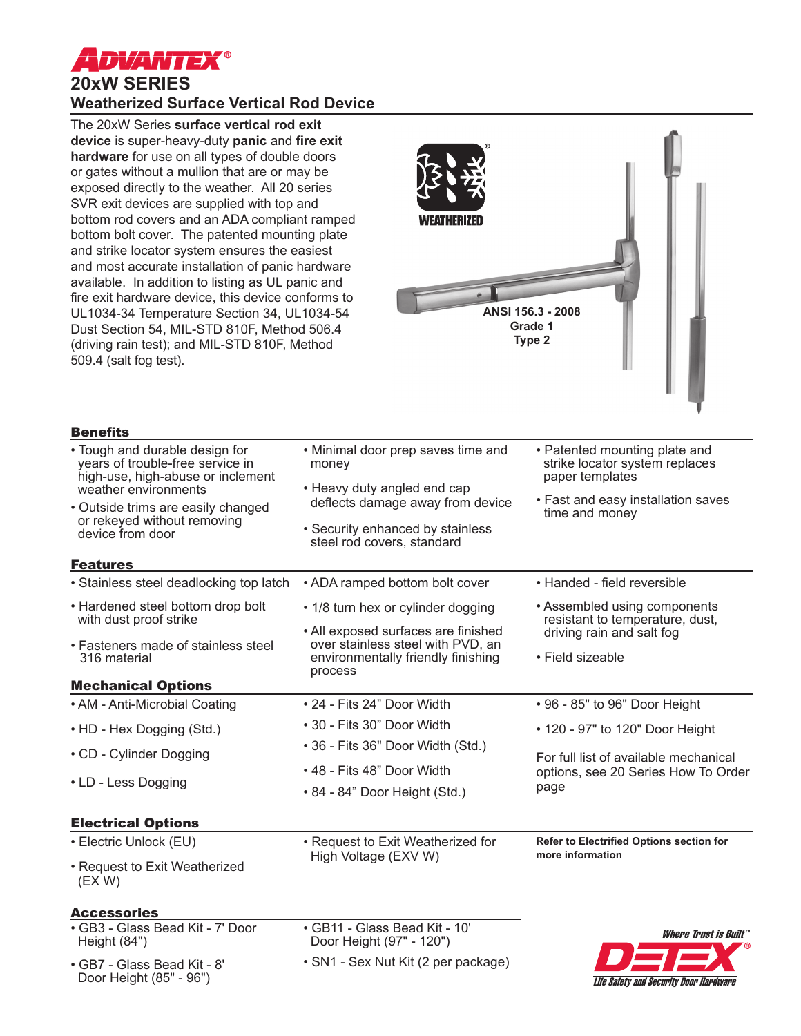

**Benefits** 

# **20xW SERIES Weatherized Surface Vertical Rod Device**

The 20xW Series **surface vertical rod exit device** is super-heavy-duty **panic** and **fire exit hardware** for use on all types of double doors or gates without a mullion that are or may be exposed directly to the weather. All 20 series SVR exit devices are supplied with top and bottom rod covers and an ADA compliant ramped bottom bolt cover. The patented mounting plate and strike locator system ensures the easiest and most accurate installation of panic hardware available. In addition to listing as UL panic and fire exit hardware device, this device conforms to UL1034-34 Temperature Section 34, UL1034-54 Dust Section 54, MIL-STD 810F, Method 506.4 (driving rain test); and MIL-STD 810F, Method 509.4 (salt fog test).



| • Tough and durable design for<br>years of trouble-free service in<br>high-use, high-abuse or inclement       | • Minimal door prep saves time and<br>money                              | • Patented mounting plate and<br>strike locator system replaces<br>paper templates           |
|---------------------------------------------------------------------------------------------------------------|--------------------------------------------------------------------------|----------------------------------------------------------------------------------------------|
| weather environments<br>• Outside trims are easily changed<br>or rekeyed without removing<br>device from door | • Heavy duty angled end cap<br>deflects damage away from device          |                                                                                              |
|                                                                                                               |                                                                          | • Fast and easy installation saves<br>time and money                                         |
|                                                                                                               | • Security enhanced by stainless<br>steel rod covers, standard           |                                                                                              |
| <b>Features</b>                                                                                               |                                                                          |                                                                                              |
| • Stainless steel deadlocking top latch                                                                       | • ADA ramped bottom bolt cover                                           | • Handed - field reversible                                                                  |
| • Hardened steel bottom drop bolt<br>with dust proof strike                                                   | • 1/8 turn hex or cylinder dogging                                       | • Assembled using components<br>resistant to temperature, dust,<br>driving rain and salt fog |
|                                                                                                               | • All exposed surfaces are finished<br>over stainless steel with PVD, an |                                                                                              |
| • Fasteners made of stainless steel<br>316 material                                                           | environmentally friendly finishing<br>process                            | • Field sizeable                                                                             |
| <b>Mechanical Options</b>                                                                                     |                                                                          |                                                                                              |
| • AM - Anti-Microbial Coating                                                                                 | • 24 - Fits 24" Door Width                                               | • 96 - 85" to 96" Door Height                                                                |
| • HD - Hex Dogging (Std.)                                                                                     | • 30 - Fits 30" Door Width                                               | • 120 - 97" to 120" Door Height                                                              |
| • CD - Cylinder Dogging                                                                                       | • 36 - Fits 36" Door Width (Std.)                                        |                                                                                              |
| • LD - Less Dogging                                                                                           | • 48 - Fits 48" Door Width                                               | For full list of available mechanical<br>options, see 20 Series How To Order<br>page         |
|                                                                                                               | • 84 - 84" Door Height (Std.)                                            |                                                                                              |
| <b>Electrical Options</b>                                                                                     |                                                                          |                                                                                              |
| • Electric Unlock (EU)                                                                                        | • Request to Exit Weatherized for                                        | Refer to Electrified Options section for                                                     |
| • Request to Exit Weatherized<br>(EX W)                                                                       | High Voltage (EXV W)                                                     | more information                                                                             |
| <b>Accessories</b>                                                                                            |                                                                          |                                                                                              |
| • GB3 - Glass Bead Kit - 7' Door<br>Height (84")                                                              | · GB11 - Glass Bead Kit - 10'<br>Door Height (97" - 120")                | <b>Where Trust is Built</b>                                                                  |
| • GB7 - Glass Bead Kit - 8'<br>Door Height (85" - 96")                                                        | • SN1 - Sex Nut Kit (2 per package)                                      | <b>Life Safety and Security Door Hardware</b>                                                |